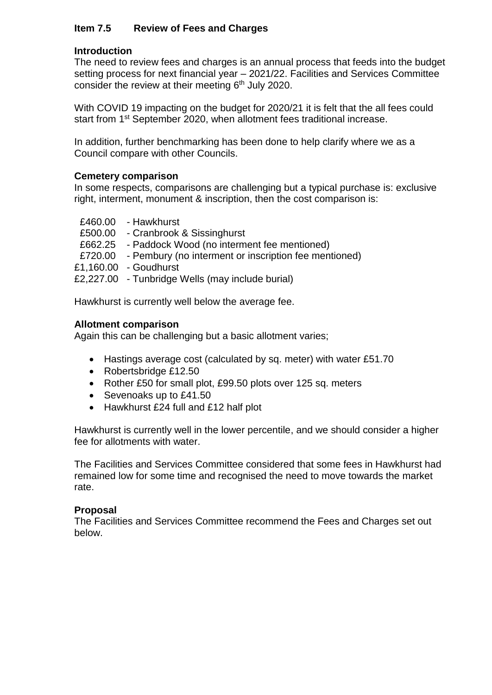# **Item 7.5 Review of Fees and Charges**

## **Introduction**

The need to review fees and charges is an annual process that feeds into the budget setting process for next financial year – 2021/22. Facilities and Services Committee consider the review at their meeting 6<sup>th</sup> July 2020.

With COVID 19 impacting on the budget for 2020/21 it is felt that the all fees could start from 1<sup>st</sup> September 2020, when allotment fees traditional increase.

In addition, further benchmarking has been done to help clarify where we as a Council compare with other Councils.

## **Cemetery comparison**

In some respects, comparisons are challenging but a typical purchase is: exclusive right, interment, monument & inscription, then the cost comparison is:

- £460.00 Hawkhurst
- £500.00 Cranbrook & Sissinghurst
- £662.25 Paddock Wood (no interment fee mentioned)
- £720.00 Pembury (no interment or inscription fee mentioned)
- £1,160.00 Goudhurst

£2,227.00 - Tunbridge Wells (may include burial)

Hawkhurst is currently well below the average fee.

#### **Allotment comparison**

Again this can be challenging but a basic allotment varies;

- Hastings average cost (calculated by sq. meter) with water £51.70
- Robertsbridge £12.50
- Rother £50 for small plot, £99.50 plots over 125 sq. meters
- Sevenoaks up to £41.50
- Hawkhurst £24 full and £12 half plot

Hawkhurst is currently well in the lower percentile, and we should consider a higher fee for allotments with water.

The Facilities and Services Committee considered that some fees in Hawkhurst had remained low for some time and recognised the need to move towards the market rate.

## **Proposal**

The Facilities and Services Committee recommend the Fees and Charges set out below.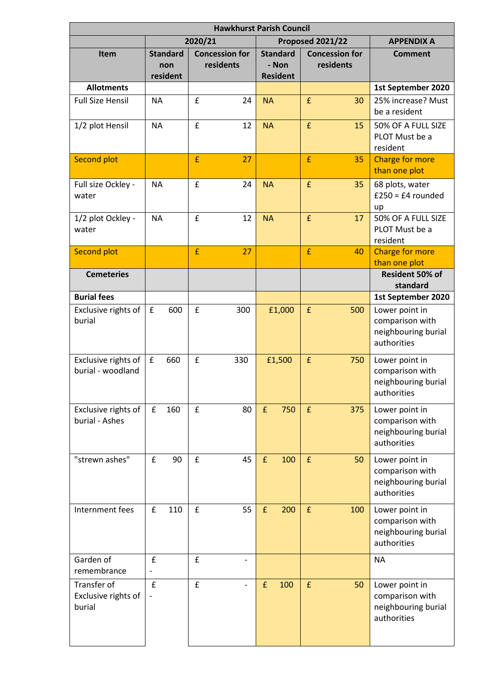| <b>Hawkhurst Parish Council</b>              |                                    |     |                                    |                          |                                             |        |                                    |                   |                                                                         |  |  |  |
|----------------------------------------------|------------------------------------|-----|------------------------------------|--------------------------|---------------------------------------------|--------|------------------------------------|-------------------|-------------------------------------------------------------------------|--|--|--|
|                                              | 2020/21                            |     |                                    |                          |                                             |        | Proposed 2021/22                   | <b>APPENDIX A</b> |                                                                         |  |  |  |
| <b>Item</b>                                  | <b>Standard</b><br>non<br>resident |     | <b>Concession for</b><br>residents |                          | <b>Standard</b><br>- Non<br><b>Resident</b> |        | <b>Concession for</b><br>residents |                   | <b>Comment</b>                                                          |  |  |  |
| <b>Allotments</b>                            |                                    |     |                                    |                          |                                             |        |                                    |                   | 1st September 2020                                                      |  |  |  |
| <b>Full Size Hensil</b>                      | <b>NA</b>                          |     | £                                  | 24                       | <b>NA</b>                                   |        | £                                  | 30                | 25% increase? Must<br>be a resident                                     |  |  |  |
| 1/2 plot Hensil                              | <b>NA</b>                          |     | £                                  | 12                       | <b>NA</b>                                   |        | £                                  | 15                | 50% OF A FULL SIZE<br>PLOT Must be a<br>resident                        |  |  |  |
| <b>Second plot</b>                           |                                    |     | £                                  | 27                       |                                             |        | £                                  | 35                | <b>Charge for more</b><br>than one plot                                 |  |  |  |
| Full size Ockley -<br>water                  | <b>NA</b>                          |     | £                                  | 24                       | <b>NA</b>                                   |        | £                                  | 35                | 68 plots, water<br>$£250 = £4$ rounded<br>up                            |  |  |  |
| 1/2 plot Ockley -<br>water                   | <b>NA</b>                          |     | $\mathbf f$                        | 12                       | <b>NA</b>                                   |        | $\pmb{\mathsf{f}}$                 | 17                | 50% OF A FULL SIZE<br>PLOT Must be a<br>resident                        |  |  |  |
| <b>Second plot</b>                           |                                    |     | $\mathbf{f}$                       | 27                       |                                             |        | $\mathbf{f}$                       | 40                | <b>Charge for more</b><br>than one plot                                 |  |  |  |
| <b>Cemeteries</b>                            |                                    |     |                                    |                          |                                             |        |                                    |                   | Resident 50% of<br>standard                                             |  |  |  |
| <b>Burial fees</b>                           |                                    |     |                                    |                          |                                             |        |                                    |                   | 1st September 2020                                                      |  |  |  |
| Exclusive rights of<br>burial                | £                                  | 600 | £                                  | 300                      |                                             | £1,000 | $\pmb{\mathsf{f}}$                 | 500               | Lower point in<br>comparison with<br>neighbouring burial<br>authorities |  |  |  |
| Exclusive rights of<br>burial - woodland     | ${\bf f}$                          | 660 | $\mathbf f$                        | 330                      |                                             | £1,500 | f                                  | 750               | Lower point in<br>comparison with<br>neighbouring burial<br>authorities |  |  |  |
| Exclusive rights of<br>burial - Ashes        | £                                  | 160 | f                                  | 80                       | f                                           | 750    | £                                  | 375               | Lower point in<br>comparison with<br>neighbouring burial<br>authorities |  |  |  |
| "strewn ashes"                               | £                                  | 90  | $\mathbf f$                        | 45                       | $\pmb{\mathsf{f}}$                          | 100    | $\mathbf f$                        | 50                | Lower point in<br>comparison with<br>neighbouring burial<br>authorities |  |  |  |
| Internment fees                              | £                                  | 110 | £                                  | 55                       | f                                           | 200    | $\pmb{\mathsf{f}}$                 | 100               | Lower point in<br>comparison with<br>neighbouring burial<br>authorities |  |  |  |
| Garden of<br>remembrance                     | £<br>$\overline{\phantom{a}}$      |     | £                                  |                          |                                             |        |                                    |                   | <b>NA</b>                                                               |  |  |  |
| Transfer of<br>Exclusive rights of<br>burial | £                                  |     | $\pmb{\mathsf{f}}$                 | $\overline{\phantom{0}}$ | £                                           | 100    | $\pmb{\mathsf{f}}$                 | 50                | Lower point in<br>comparison with<br>neighbouring burial<br>authorities |  |  |  |